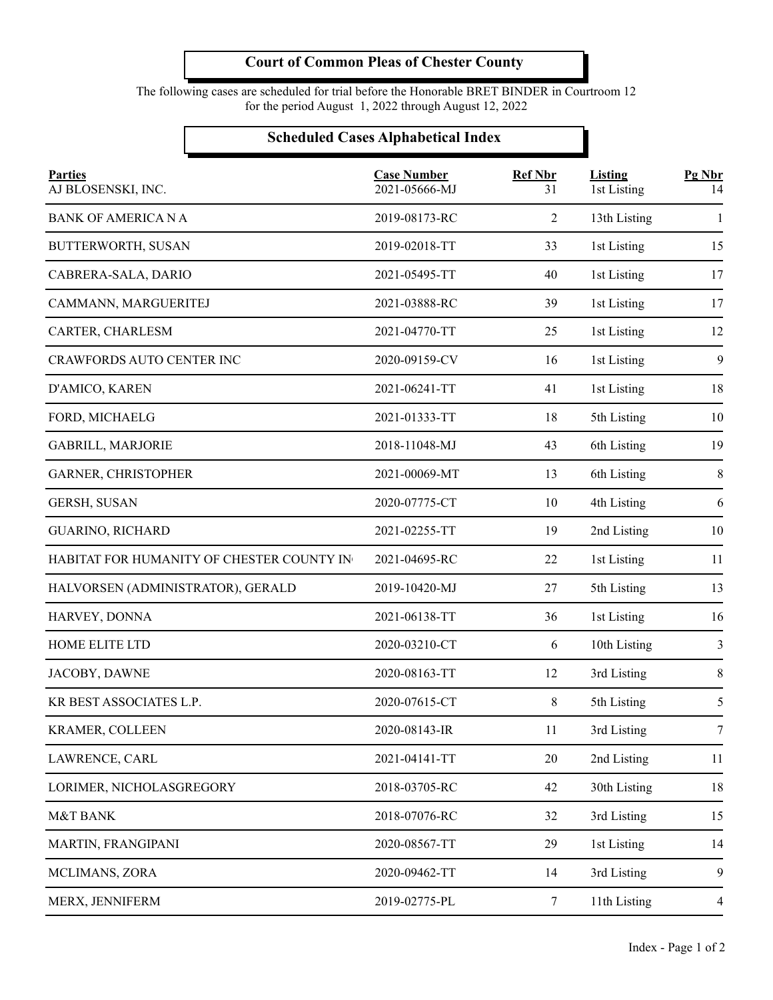The following cases are scheduled for trial before the Honorable BRET BINDER in Courtroom 12 for the period August 1, 2022 through August 12, 2022

### **Scheduled Cases Alphabetical Index**

| <b>Parties</b><br>AJ BLOSENSKI, INC.      | <b>Case Number</b><br>2021-05666-MJ | <b>Ref Nbr</b><br>31 | <b>Listing</b><br>1st Listing | Pg Nbr<br>14   |
|-------------------------------------------|-------------------------------------|----------------------|-------------------------------|----------------|
| <b>BANK OF AMERICA N A</b>                | 2019-08173-RC                       | 2                    | 13th Listing                  | 1              |
| BUTTERWORTH, SUSAN                        | 2019-02018-TT                       | 33                   | 1st Listing                   | 15             |
| CABRERA-SALA, DARIO                       | 2021-05495-TT                       | 40                   | 1st Listing                   | 17             |
| CAMMANN, MARGUERITEJ                      | 2021-03888-RC                       | 39                   | 1st Listing                   | 17             |
| CARTER, CHARLESM                          | 2021-04770-TT                       | 25                   | 1st Listing                   | 12             |
| CRAWFORDS AUTO CENTER INC                 | 2020-09159-CV                       | 16                   | 1st Listing                   | 9              |
| D'AMICO, KAREN                            | 2021-06241-TT                       | 41                   | 1st Listing                   | 18             |
| FORD, MICHAELG                            | 2021-01333-TT                       | 18                   | 5th Listing                   | 10             |
| GABRILL, MARJORIE                         | 2018-11048-MJ                       | 43                   | 6th Listing                   | 19             |
| GARNER, CHRISTOPHER                       | 2021-00069-MT                       | 13                   | 6th Listing                   | 8              |
| <b>GERSH, SUSAN</b>                       | 2020-07775-CT                       | 10                   | 4th Listing                   | 6              |
| <b>GUARINO, RICHARD</b>                   | 2021-02255-TT                       | 19                   | 2nd Listing                   | 10             |
| HABITAT FOR HUMANITY OF CHESTER COUNTY IN | 2021-04695-RC                       | 22                   | 1st Listing                   | 11             |
| HALVORSEN (ADMINISTRATOR), GERALD         | 2019-10420-MJ                       | 27                   | 5th Listing                   | 13             |
| HARVEY, DONNA                             | 2021-06138-TT                       | 36                   | 1st Listing                   | 16             |
| HOME ELITE LTD                            | 2020-03210-CT                       | 6                    | 10th Listing                  | 3              |
| JACOBY, DAWNE                             | 2020-08163-TT                       | 12                   | 3rd Listing                   | 8              |
| KR BEST ASSOCIATES L.P.                   | 2020-07615-CT                       | 8                    | 5th Listing                   | 5              |
| <b>KRAMER, COLLEEN</b>                    | 2020-08143-IR                       | 11                   | 3rd Listing                   | $\tau$         |
| LAWRENCE, CARL                            | 2021-04141-TT                       | 20                   | 2nd Listing                   | 11             |
| LORIMER, NICHOLASGREGORY                  | 2018-03705-RC                       | 42                   | 30th Listing                  | 18             |
| M&T BANK                                  | 2018-07076-RC                       | 32                   | 3rd Listing                   | 15             |
| MARTIN, FRANGIPANI                        | 2020-08567-TT                       | 29                   | 1st Listing                   | 14             |
| MCLIMANS, ZORA                            | 2020-09462-TT                       | 14                   | 3rd Listing                   | 9              |
| MERX, JENNIFERM                           | 2019-02775-PL                       | $\tau$               | 11th Listing                  | $\overline{4}$ |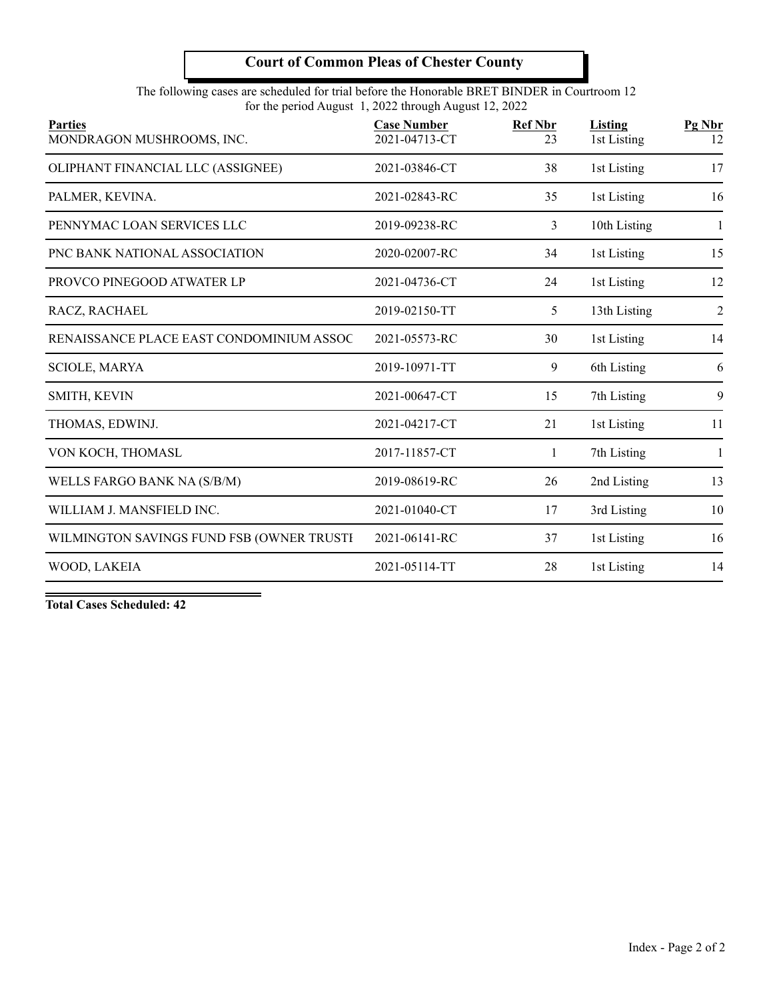The following cases are scheduled for trial before the Honorable BRET BINDER in Courtroom 12 for the period August 1, 2022 through August 12, 2022

| <b>Parties</b><br>MONDRAGON MUSHROOMS, INC. | <b>Case Number</b><br>2021-04713-CT | <b>Ref Nbr</b><br>23 | Listing<br>1st Listing | Pg Nbr<br>12   |
|---------------------------------------------|-------------------------------------|----------------------|------------------------|----------------|
| OLIPHANT FINANCIAL LLC (ASSIGNEE)           | 2021-03846-CT                       | 38                   | 1st Listing            | 17             |
| PALMER, KEVINA.                             | 2021-02843-RC                       | 35                   | 1st Listing            | 16             |
| PENNYMAC LOAN SERVICES LLC                  | 2019-09238-RC                       | 3                    | 10th Listing           | 1              |
| PNC BANK NATIONAL ASSOCIATION               | 2020-02007-RC                       | 34                   | 1st Listing            | 15             |
| PROVCO PINEGOOD ATWATER LP                  | 2021-04736-CT                       | 24                   | 1st Listing            | 12             |
| RACZ, RACHAEL                               | 2019-02150-TT                       | 5                    | 13th Listing           | $\overline{2}$ |
| RENAISSANCE PLACE EAST CONDOMINIUM ASSOC    | 2021-05573-RC                       | 30                   | 1st Listing            | 14             |
| <b>SCIOLE, MARYA</b>                        | 2019-10971-TT                       | 9                    | 6th Listing            | 6              |
| SMITH, KEVIN                                | 2021-00647-CT                       | 15                   | 7th Listing            | 9              |
| THOMAS, EDWINJ.                             | 2021-04217-CT                       | 21                   | 1st Listing            | 11             |
| VON KOCH, THOMASL                           | 2017-11857-CT                       | 1                    | 7th Listing            | $\mathbf{1}$   |
| WELLS FARGO BANK NA (S/B/M)                 | 2019-08619-RC                       | 26                   | 2nd Listing            | 13             |
| WILLIAM J. MANSFIELD INC.                   | 2021-01040-CT                       | 17                   | 3rd Listing            | 10             |
| WILMINGTON SAVINGS FUND FSB (OWNER TRUSTI   | 2021-06141-RC                       | 37                   | 1st Listing            | 16             |
| WOOD, LAKEIA                                | 2021-05114-TT                       | 28                   | 1st Listing            | 14             |
|                                             |                                     |                      |                        |                |

**Total Cases Scheduled: 42**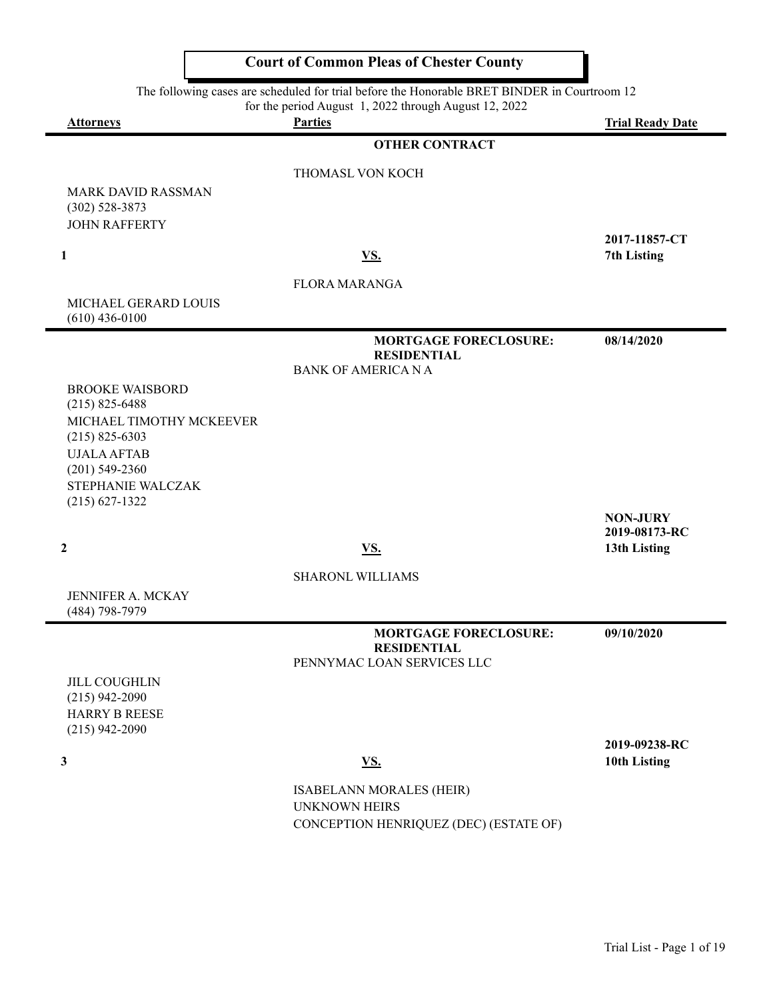The following cases are scheduled for trial before the Honorable BRET BINDER in Courtroom 12

for the period August 1, 2022 through August 12, 2022

**Attorneys Parties Trial Ready Date**

#### **OTHER CONTRACT**

THOMASL VON KOCH

MARK DAVID RASSMAN (302) 528-3873 JOHN RAFFERTY

#### **1 VS . 7th Listing**

FLORA MARANGA

MICHAEL GERARD LOUIS (610) 436-0100

> **MORTGAGE FORECLOSURE: 08/14/2020 RESIDENTIAL** BANK OF AMERICA N A

BROOKE WAISBORD (215) 825-6488 MICHAEL TIMOTHY MCKEEVER (215) 825-6303 UJALA AFTAB (201) 549-2360 STEPHANIE WALCZAK (215) 627-1322

SHARONL WILLIAMS

JENNIFER A. MCKAY (484) 798-7979

JILL COUGHLIN (215) 942-2090 HARRY B REESE (215) 942-2090

**MORTGAGE FORECLOSURE: 09/10/2020 RESIDENTIAL** PENNYMAC LOAN SERVICES LLC

**2019-09238-RC 3** 10th Listing 10th Listing 10th Listing 10th Listing 10th Listing 10th Listing 10th Listing 10th Listing 10th Listing 10th Listing 10th Listing 10th Listing 10th Listing 10th Listing 10th Listing 10th Listing 10th Listi

**2019-08173-RC**

2 and 13th Listing 2 and 13th Listing 2 and 13th Listing 2 and 13th Listing 2 and 13th Listing 2 and 13th Listing 2 and 13th Listing 2 and 13th Listing 2 and 13th Listing 2 and 13th Listing 2 and 13th Listing 2 and 13th Li

ISABELANN MORALES (HEIR) UNKNOWN HEIRS CONCEPTION HENRIQUEZ (DEC) (ESTATE OF)

**2017-11857-CT**

**NON-JURY**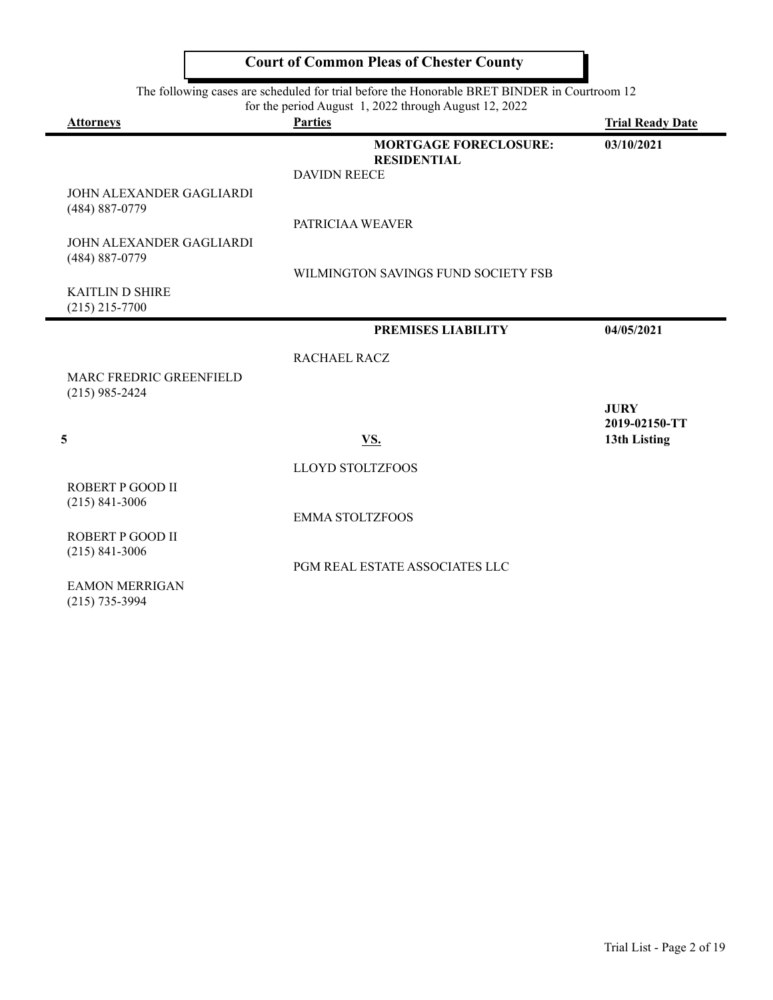|                                                       | The following cases are scheduled for trial before the Honorable BRET BINDER in Courtroom 12 |                               |  |
|-------------------------------------------------------|----------------------------------------------------------------------------------------------|-------------------------------|--|
| for the period August 1, 2022 through August 12, 2022 |                                                                                              |                               |  |
| <b>Attorneys</b>                                      | <b>Parties</b>                                                                               | <b>Trial Ready Date</b>       |  |
|                                                       | <b>MORTGAGE FORECLOSURE:</b><br><b>RESIDENTIAL</b><br><b>DAVIDN REECE</b>                    | 03/10/2021                    |  |
| JOHN ALEXANDER GAGLIARDI<br>(484) 887-0779            |                                                                                              |                               |  |
| JOHN ALEXANDER GAGLIARDI<br>(484) 887-0779            | PATRICIAA WEAVER                                                                             |                               |  |
|                                                       | WILMINGTON SAVINGS FUND SOCIETY FSB                                                          |                               |  |
| <b>KAITLIN D SHIRE</b><br>$(215)$ 215-7700            |                                                                                              |                               |  |
|                                                       | <b>PREMISES LIABILITY</b>                                                                    | 04/05/2021                    |  |
|                                                       | RACHAEL RACZ                                                                                 |                               |  |
| MARC FREDRIC GREENFIELD<br>$(215)$ 985-2424           |                                                                                              |                               |  |
|                                                       |                                                                                              | <b>JURY</b>                   |  |
| 5                                                     | VS.                                                                                          | 2019-02150-TT<br>13th Listing |  |
|                                                       | <b>LLOYD STOLTZFOOS</b>                                                                      |                               |  |
| ROBERT P GOOD II<br>$(215) 841 - 3006$                |                                                                                              |                               |  |
|                                                       | <b>EMMA STOLTZFOOS</b>                                                                       |                               |  |
| ROBERT P GOOD II<br>$(215) 841 - 3006$                |                                                                                              |                               |  |
|                                                       | PGM REAL ESTATE ASSOCIATES LLC                                                               |                               |  |
| <b>EAMON MERRIGAN</b>                                 |                                                                                              |                               |  |

(215) 735-3994

**Court of Common Pleas of Chester County**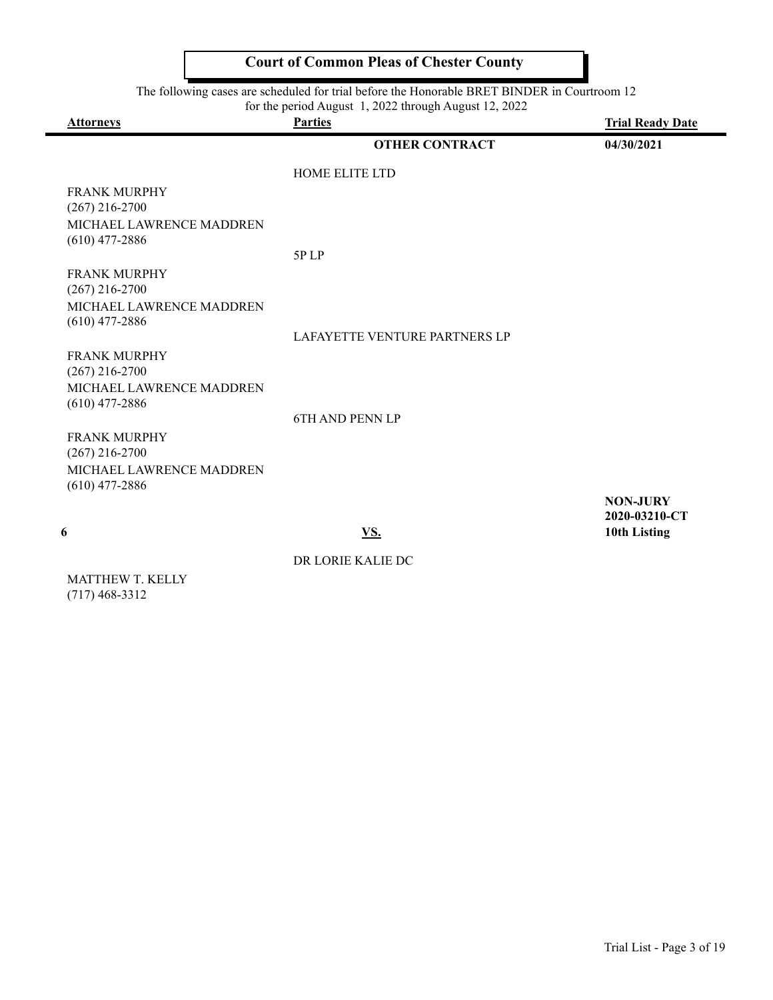The following cases are scheduled for trial before the Honorable BRET BINDER in Courtroom 12

| <b>Attorneys</b>                             | for the period August 1, 2022 through August 12, 2022<br><b>Parties</b> | <b>Trial Ready Date</b>          |
|----------------------------------------------|-------------------------------------------------------------------------|----------------------------------|
|                                              | <b>OTHER CONTRACT</b>                                                   | 04/30/2021                       |
|                                              | HOME ELITE LTD                                                          |                                  |
| <b>FRANK MURPHY</b><br>$(267)$ 216-2700      |                                                                         |                                  |
| MICHAEL LAWRENCE MADDREN<br>$(610)$ 477-2886 |                                                                         |                                  |
|                                              | 5PLP                                                                    |                                  |
| <b>FRANK MURPHY</b><br>$(267)$ 216-2700      |                                                                         |                                  |
| MICHAEL LAWRENCE MADDREN<br>$(610)$ 477-2886 |                                                                         |                                  |
|                                              | LAFAYETTE VENTURE PARTNERS LP                                           |                                  |
| <b>FRANK MURPHY</b><br>$(267)$ 216-2700      |                                                                         |                                  |
| MICHAEL LAWRENCE MADDREN<br>$(610)$ 477-2886 |                                                                         |                                  |
|                                              | <b>6TH AND PENN LP</b>                                                  |                                  |
| <b>FRANK MURPHY</b><br>$(267)$ 216-2700      |                                                                         |                                  |
| MICHAEL LAWRENCE MADDREN<br>$(610)$ 477-2886 |                                                                         |                                  |
|                                              |                                                                         | <b>NON-JURY</b><br>2020-03210-CT |
| 6                                            | VS.                                                                     | 10th Listing                     |

DR LORIE KALIE DC

MATTHEW T. KELLY (717) 468-3312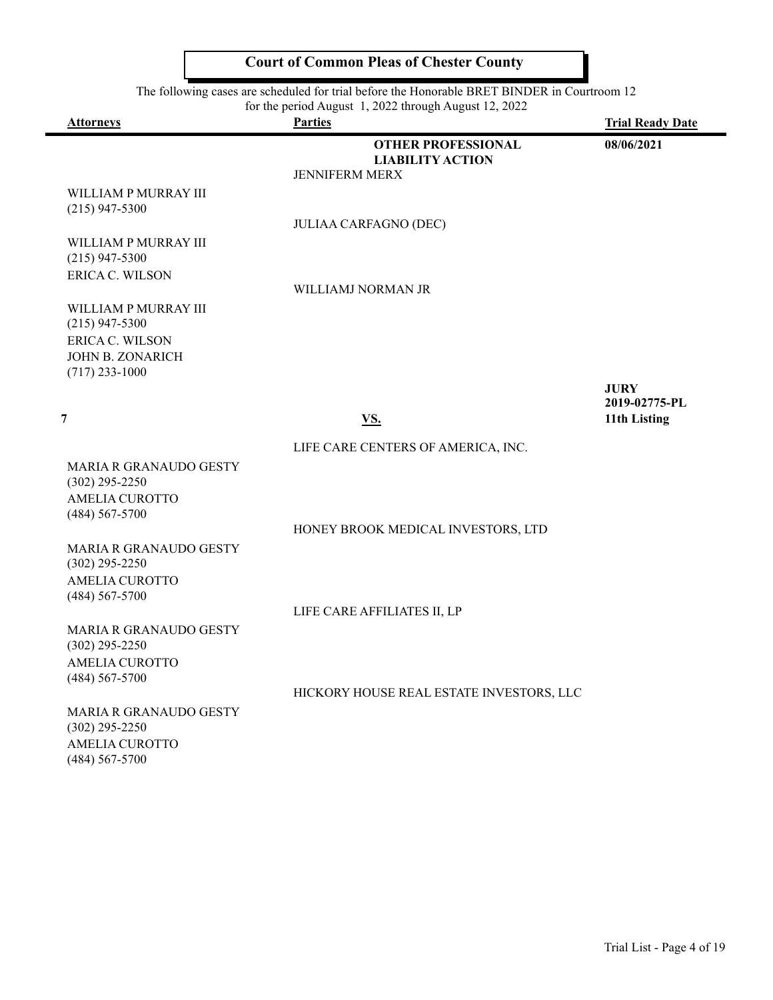| The following cases are scheduled for trial before the Honorable BRET BINDER in Courtroom 12<br>for the period August 1, 2022 through August 12, 2022 |                                                                               |                              |
|-------------------------------------------------------------------------------------------------------------------------------------------------------|-------------------------------------------------------------------------------|------------------------------|
| <b>Attorneys</b>                                                                                                                                      | <b>Parties</b>                                                                | <b>Trial Ready Date</b>      |
|                                                                                                                                                       | <b>OTHER PROFESSIONAL</b><br><b>LIABILITY ACTION</b><br><b>JENNIFERM MERX</b> | 08/06/2021                   |
| WILLIAM P MURRAY III<br>$(215)$ 947-5300                                                                                                              |                                                                               |                              |
|                                                                                                                                                       | <b>JULIAA CARFAGNO (DEC)</b>                                                  |                              |
| WILLIAM P MURRAY III<br>$(215)$ 947-5300                                                                                                              |                                                                               |                              |
| <b>ERICA C. WILSON</b>                                                                                                                                | WILLIAMJ NORMAN JR                                                            |                              |
| WILLIAM P MURRAY III<br>$(215)$ 947-5300                                                                                                              |                                                                               |                              |
| ERICA C. WILSON<br><b>JOHN B. ZONARICH</b>                                                                                                            |                                                                               |                              |
| $(717)$ 233-1000                                                                                                                                      |                                                                               |                              |
|                                                                                                                                                       |                                                                               | <b>JURY</b><br>2019-02775-PL |
| 7                                                                                                                                                     | <u>VS.</u>                                                                    | 11th Listing                 |
|                                                                                                                                                       | LIFE CARE CENTERS OF AMERICA, INC.                                            |                              |
| <b>MARIA R GRANAUDO GESTY</b><br>$(302)$ 295-2250                                                                                                     |                                                                               |                              |
| <b>AMELIA CUROTTO</b><br>$(484) 567 - 5700$                                                                                                           |                                                                               |                              |
|                                                                                                                                                       | HONEY BROOK MEDICAL INVESTORS, LTD                                            |                              |
| MARIA R GRANAUDO GESTY<br>$(302)$ 295-2250                                                                                                            |                                                                               |                              |
| <b>AMELIA CUROTTO</b><br>$(484) 567 - 5700$                                                                                                           |                                                                               |                              |
|                                                                                                                                                       | LIFE CARE AFFILIATES II, LP                                                   |                              |
| <b>MARIA R GRANAUDO GESTY</b><br>$(302)$ 295-2250                                                                                                     |                                                                               |                              |
| AMELIA CUROTTO<br>$(484) 567 - 5700$                                                                                                                  |                                                                               |                              |
|                                                                                                                                                       | HICKORY HOUSE REAL ESTATE INVESTORS, LLC                                      |                              |
| <b>MARIA R GRANAUDO GESTY</b><br>$(302)$ 295-2250                                                                                                     |                                                                               |                              |
| <b>AMELIA CUROTTO</b><br>$(484) 567 - 5700$                                                                                                           |                                                                               |                              |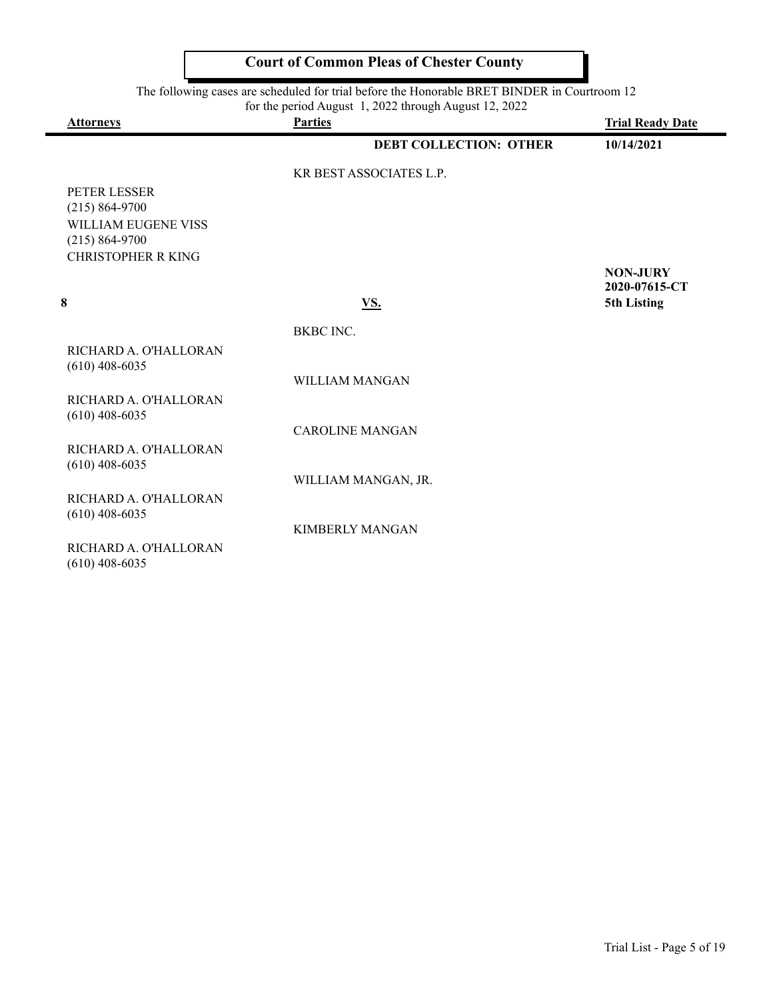|                                                 | The following eases are scheduled for that before the frontifacte DKET DITVDER in Courtroom 12<br>for the period August 1, 2022 through August 12, 2022 |                         |
|-------------------------------------------------|---------------------------------------------------------------------------------------------------------------------------------------------------------|-------------------------|
| <b>Attorneys</b>                                | <b>Parties</b>                                                                                                                                          | <b>Trial Ready Date</b> |
|                                                 | <b>DEBT COLLECTION: OTHER</b>                                                                                                                           | 10/14/2021              |
|                                                 | <b>KR BEST ASSOCIATES L.P.</b>                                                                                                                          |                         |
| PETER LESSER                                    |                                                                                                                                                         |                         |
| $(215) 864 - 9700$                              |                                                                                                                                                         |                         |
| WILLIAM EUGENE VISS                             |                                                                                                                                                         |                         |
| $(215) 864 - 9700$<br><b>CHRISTOPHER R KING</b> |                                                                                                                                                         |                         |
|                                                 |                                                                                                                                                         | <b>NON-JURY</b>         |
|                                                 |                                                                                                                                                         | 2020-07615-CT           |
| 8                                               | VS.                                                                                                                                                     | 5th Listing             |
|                                                 | BKBC INC.                                                                                                                                               |                         |
| RICHARD A. O'HALLORAN                           |                                                                                                                                                         |                         |
| $(610)$ 408-6035                                |                                                                                                                                                         |                         |
|                                                 | <b>WILLIAM MANGAN</b>                                                                                                                                   |                         |
| RICHARD A. O'HALLORAN<br>$(610)$ 408-6035       |                                                                                                                                                         |                         |
|                                                 | <b>CAROLINE MANGAN</b>                                                                                                                                  |                         |
| RICHARD A. O'HALLORAN                           |                                                                                                                                                         |                         |
| $(610)$ 408-6035                                |                                                                                                                                                         |                         |
|                                                 | WILLIAM MANGAN, JR.                                                                                                                                     |                         |
| RICHARD A. O'HALLORAN                           |                                                                                                                                                         |                         |
| $(610)$ 408-6035                                |                                                                                                                                                         |                         |
|                                                 | <b>KIMBERLY MANGAN</b>                                                                                                                                  |                         |
| RICHARD A. O'HALLORAN                           |                                                                                                                                                         |                         |
| $(610)$ 408-6035                                |                                                                                                                                                         |                         |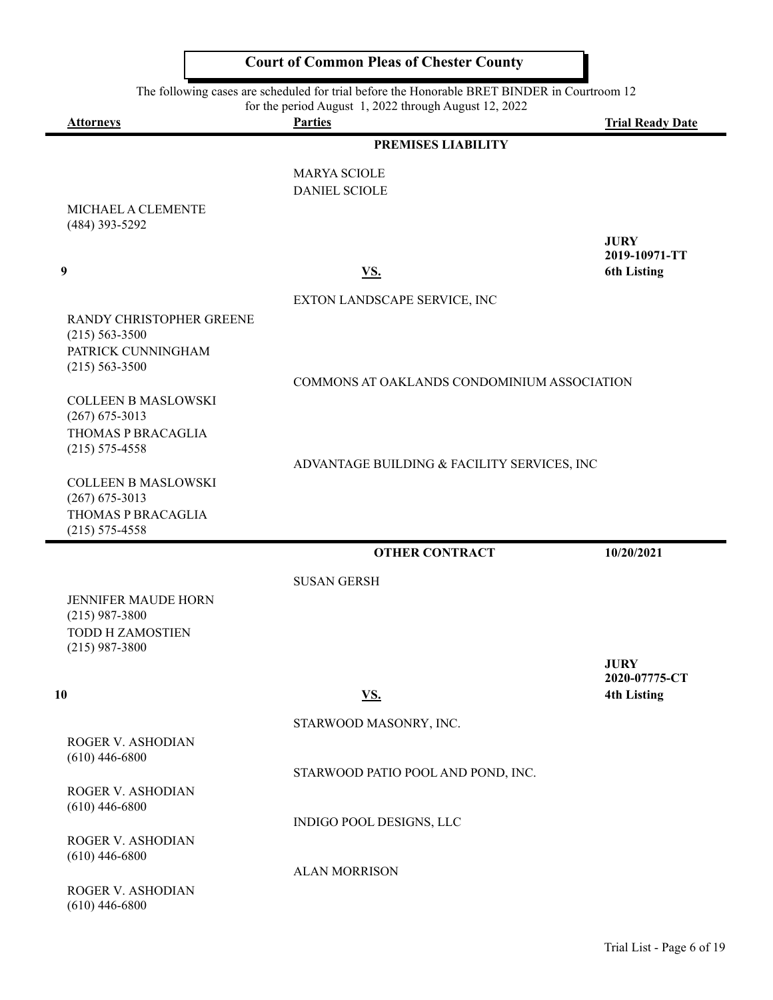| The following cases are scheduled for trial before the Honorable BRET BINDER in Courtroom 12<br>for the period August 1, 2022 through August 12, 2022 |                                             |                         |
|-------------------------------------------------------------------------------------------------------------------------------------------------------|---------------------------------------------|-------------------------|
| <b>Attorneys</b>                                                                                                                                      | <b>Parties</b>                              | <b>Trial Ready Date</b> |
|                                                                                                                                                       | PREMISES LIABILITY                          |                         |
|                                                                                                                                                       | <b>MARYA SCIOLE</b>                         |                         |
|                                                                                                                                                       | <b>DANIEL SCIOLE</b>                        |                         |
| MICHAEL A CLEMENTE                                                                                                                                    |                                             |                         |
| (484) 393-5292                                                                                                                                        |                                             | <b>JURY</b>             |
|                                                                                                                                                       |                                             | 2019-10971-TT           |
| 9                                                                                                                                                     | <u>VS.</u>                                  | <b>6th Listing</b>      |
|                                                                                                                                                       | EXTON LANDSCAPE SERVICE, INC                |                         |
| RANDY CHRISTOPHER GREENE                                                                                                                              |                                             |                         |
| $(215) 563 - 3500$                                                                                                                                    |                                             |                         |
| PATRICK CUNNINGHAM                                                                                                                                    |                                             |                         |
| $(215) 563 - 3500$                                                                                                                                    | COMMONS AT OAKLANDS CONDOMINIUM ASSOCIATION |                         |
| <b>COLLEEN B MASLOWSKI</b>                                                                                                                            |                                             |                         |
| $(267)$ 675-3013                                                                                                                                      |                                             |                         |
| THOMAS P BRACAGLIA                                                                                                                                    |                                             |                         |
| $(215)$ 575-4558                                                                                                                                      |                                             |                         |
|                                                                                                                                                       | ADVANTAGE BUILDING & FACILITY SERVICES, INC |                         |
| <b>COLLEEN B MASLOWSKI</b>                                                                                                                            |                                             |                         |
| $(267)$ 675-3013<br>THOMAS P BRACAGLIA                                                                                                                |                                             |                         |
| $(215) 575 - 4558$                                                                                                                                    |                                             |                         |
|                                                                                                                                                       | <b>OTHER CONTRACT</b>                       | 10/20/2021              |
|                                                                                                                                                       |                                             |                         |
|                                                                                                                                                       | <b>SUSAN GERSH</b>                          |                         |
| <b>JENNIFER MAUDE HORN</b><br>$(215)$ 987-3800                                                                                                        |                                             |                         |
| <b>TODD H ZAMOSTIEN</b>                                                                                                                               |                                             |                         |
| $(215)$ 987-3800                                                                                                                                      |                                             |                         |
|                                                                                                                                                       |                                             | <b>JURY</b>             |
|                                                                                                                                                       |                                             | 2020-07775-CT           |
| 10                                                                                                                                                    | <u>VS.</u>                                  | <b>4th Listing</b>      |
|                                                                                                                                                       | STARWOOD MASONRY, INC.                      |                         |
| ROGER V. ASHODIAN                                                                                                                                     |                                             |                         |
| $(610)$ 446-6800                                                                                                                                      |                                             |                         |
|                                                                                                                                                       | STARWOOD PATIO POOL AND POND, INC.          |                         |
| ROGER V. ASHODIAN<br>$(610)$ 446-6800                                                                                                                 |                                             |                         |
|                                                                                                                                                       | INDIGO POOL DESIGNS, LLC                    |                         |
| ROGER V. ASHODIAN                                                                                                                                     |                                             |                         |
| $(610)$ 446-6800                                                                                                                                      |                                             |                         |
|                                                                                                                                                       | <b>ALAN MORRISON</b>                        |                         |
| <b>DOGED V ASHODIAN</b>                                                                                                                               |                                             |                         |

ROGER V. ASHODIAN (610) 446-6800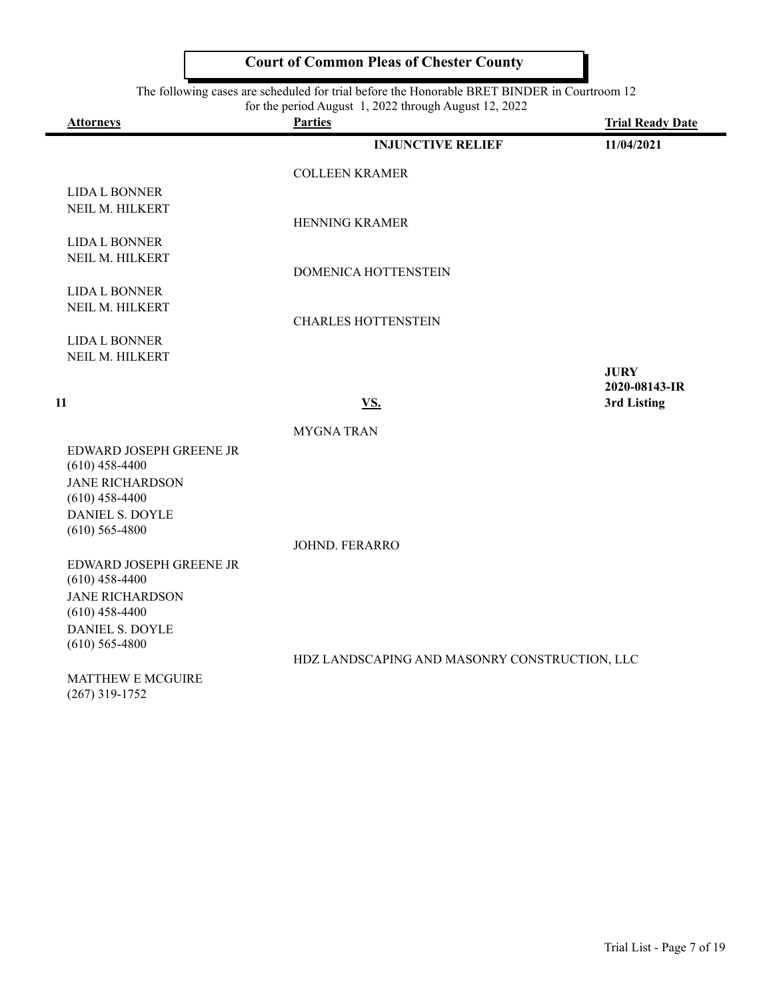The following cases are scheduled for trial before the Honorable BRET BINDER in Courtroom 12

 $\overline{\phantom{a}}$ 

| for the period August 1, 2022 through August 12, 2022 |                                               |                         |
|-------------------------------------------------------|-----------------------------------------------|-------------------------|
| <b>Attorneys</b>                                      | <b>Parties</b>                                | <b>Trial Ready Date</b> |
|                                                       | <b>INJUNCTIVE RELIEF</b>                      | 11/04/2021              |
|                                                       | <b>COLLEEN KRAMER</b>                         |                         |
| <b>LIDA L BONNER</b>                                  |                                               |                         |
| NEIL M. HILKERT                                       |                                               |                         |
|                                                       | HENNING KRAMER                                |                         |
| <b>LIDA L BONNER</b>                                  |                                               |                         |
| NEIL M. HILKERT                                       |                                               |                         |
|                                                       | DOMENICA HOTTENSTEIN                          |                         |
| <b>LIDA L BONNER</b>                                  |                                               |                         |
| NEIL M. HILKERT                                       | <b>CHARLES HOTTENSTEIN</b>                    |                         |
|                                                       |                                               |                         |
| <b>LIDA L BONNER</b><br>NEIL M. HILKERT               |                                               |                         |
|                                                       |                                               | <b>JURY</b>             |
|                                                       |                                               | 2020-08143-IR           |
| 11                                                    | VS.                                           | 3rd Listing             |
|                                                       | <b>MYGNATRAN</b>                              |                         |
| EDWARD JOSEPH GREENE JR                               |                                               |                         |
| $(610)$ 458-4400                                      |                                               |                         |
| <b>JANE RICHARDSON</b>                                |                                               |                         |
| $(610)$ 458-4400                                      |                                               |                         |
| <b>DANIEL S. DOYLE</b>                                |                                               |                         |
| $(610)$ 565-4800                                      |                                               |                         |
|                                                       | <b>JOHND. FERARRO</b>                         |                         |
| EDWARD JOSEPH GREENE JR                               |                                               |                         |
| $(610)$ 458-4400                                      |                                               |                         |
| <b>JANE RICHARDSON</b><br>$(610)$ 458-4400            |                                               |                         |
| <b>DANIEL S. DOYLE</b>                                |                                               |                         |
| $(610)$ 565-4800                                      |                                               |                         |
|                                                       | HDZ LANDSCAPING AND MASONRY CONSTRUCTION, LLC |                         |
| <b>MATTHEW E MCGUIRE</b>                              |                                               |                         |
| $(267)$ 319-1752                                      |                                               |                         |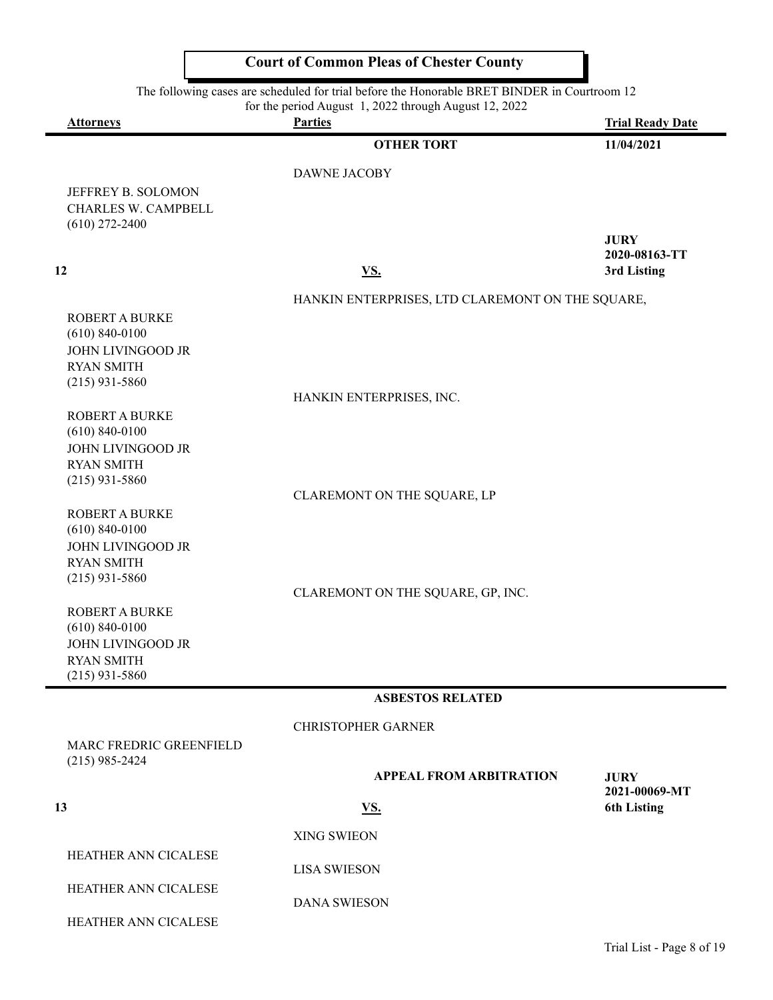|                                                | <b>Court of Common Pleas of Chester County</b>                                               |                              |
|------------------------------------------------|----------------------------------------------------------------------------------------------|------------------------------|
|                                                | The following cases are scheduled for trial before the Honorable BRET BINDER in Courtroom 12 |                              |
| <b>Attorneys</b>                               | for the period August 1, 2022 through August 12, 2022<br><b>Parties</b>                      | <b>Trial Ready Date</b>      |
|                                                | <b>OTHER TORT</b>                                                                            | 11/04/2021                   |
|                                                | <b>DAWNE JACOBY</b>                                                                          |                              |
| JEFFREY B. SOLOMON                             |                                                                                              |                              |
| CHARLES W. CAMPBELL<br>$(610)$ 272-2400        |                                                                                              |                              |
|                                                |                                                                                              | <b>JURY</b>                  |
| 12                                             | VS.                                                                                          | 2020-08163-TT<br>3rd Listing |
|                                                | HANKIN ENTERPRISES, LTD CLAREMONT ON THE SQUARE,                                             |                              |
| <b>ROBERT A BURKE</b><br>$(610) 840 - 0100$    |                                                                                              |                              |
| <b>JOHN LIVINGOOD JR</b>                       |                                                                                              |                              |
| <b>RYAN SMITH</b><br>$(215)$ 931-5860          |                                                                                              |                              |
|                                                | HANKIN ENTERPRISES, INC.                                                                     |                              |
| <b>ROBERT A BURKE</b>                          |                                                                                              |                              |
| $(610) 840 - 0100$<br><b>JOHN LIVINGOOD JR</b> |                                                                                              |                              |
| <b>RYAN SMITH</b><br>$(215)$ 931-5860          |                                                                                              |                              |
|                                                | CLAREMONT ON THE SQUARE, LP                                                                  |                              |
| <b>ROBERT A BURKE</b><br>$(610) 840 - 0100$    |                                                                                              |                              |
| <b>JOHN LIVINGOOD JR</b>                       |                                                                                              |                              |
| <b>RYAN SMITH</b><br>$(215)$ 931-5860          |                                                                                              |                              |
|                                                | CLAREMONT ON THE SQUARE, GP, INC.                                                            |                              |
| <b>ROBERT A BURKE</b><br>$(610) 840 - 0100$    |                                                                                              |                              |
| <b>JOHN LIVINGOOD JR</b>                       |                                                                                              |                              |
| <b>RYAN SMITH</b><br>$(215)$ 931-5860          |                                                                                              |                              |
|                                                | <b>ASBESTOS RELATED</b>                                                                      |                              |
|                                                | <b>CHRISTOPHER GARNER</b>                                                                    |                              |
| MARC FREDRIC GREENFIELD                        |                                                                                              |                              |
| $(215)$ 985-2424                               | <b>APPEAL FROM ARBITRATION</b>                                                               | <b>JURY</b>                  |
|                                                |                                                                                              | 2021-00069-MT                |
| 13                                             | VS.                                                                                          | <b>6th Listing</b>           |
| HEATHER ANN CICALESE                           | <b>XING SWIEON</b>                                                                           |                              |
|                                                | <b>LISA SWIESON</b>                                                                          |                              |
| HEATHER ANN CICALESE                           | <b>DANA SWIESON</b>                                                                          |                              |
| HEATHER ANN CICALESE                           |                                                                                              |                              |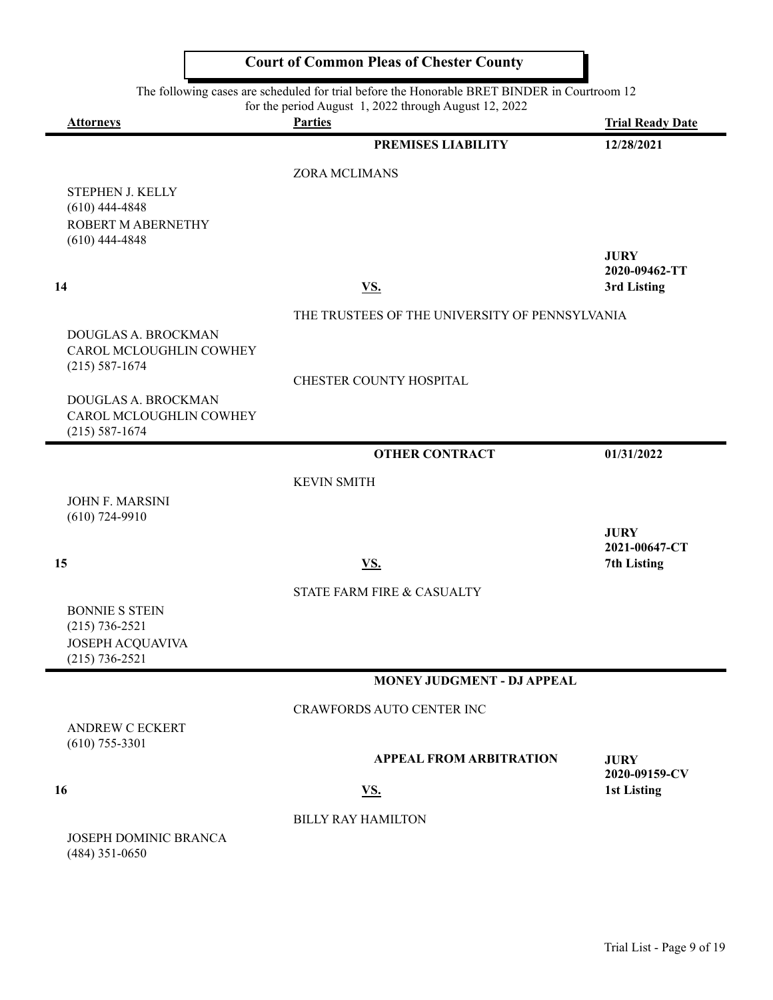|                                           | <b>Court of Common Pleas of Chester County</b>                                                                                                        |                                     |
|-------------------------------------------|-------------------------------------------------------------------------------------------------------------------------------------------------------|-------------------------------------|
|                                           | The following cases are scheduled for trial before the Honorable BRET BINDER in Courtroom 12<br>for the period August 1, 2022 through August 12, 2022 |                                     |
| <b>Attorneys</b>                          | <b>Parties</b>                                                                                                                                        | <b>Trial Ready Date</b>             |
|                                           | <b>PREMISES LIABILITY</b>                                                                                                                             | 12/28/2021                          |
|                                           | ZORA MCLIMANS                                                                                                                                         |                                     |
| STEPHEN J. KELLY                          |                                                                                                                                                       |                                     |
| $(610)$ 444-4848                          |                                                                                                                                                       |                                     |
| <b>ROBERT M ABERNETHY</b>                 |                                                                                                                                                       |                                     |
| $(610)$ 444-4848                          |                                                                                                                                                       |                                     |
|                                           |                                                                                                                                                       | <b>JURY</b><br>2020-09462-TT        |
| 14                                        | VS.                                                                                                                                                   | 3rd Listing                         |
|                                           | THE TRUSTEES OF THE UNIVERSITY OF PENNSYLVANIA                                                                                                        |                                     |
| DOUGLAS A. BROCKMAN                       |                                                                                                                                                       |                                     |
| CAROL MCLOUGHLIN COWHEY                   |                                                                                                                                                       |                                     |
| $(215) 587 - 1674$                        |                                                                                                                                                       |                                     |
|                                           | CHESTER COUNTY HOSPITAL                                                                                                                               |                                     |
| DOUGLAS A. BROCKMAN                       |                                                                                                                                                       |                                     |
| CAROL MCLOUGHLIN COWHEY                   |                                                                                                                                                       |                                     |
| $(215) 587 - 1674$                        |                                                                                                                                                       |                                     |
|                                           | <b>OTHER CONTRACT</b>                                                                                                                                 | 01/31/2022                          |
|                                           | <b>KEVIN SMITH</b>                                                                                                                                    |                                     |
| <b>JOHN F. MARSINI</b>                    |                                                                                                                                                       |                                     |
| $(610)$ 724-9910                          |                                                                                                                                                       |                                     |
|                                           |                                                                                                                                                       | <b>JURY</b><br>2021-00647-CT        |
| 15                                        | <u>VS.</u>                                                                                                                                            | 7th Listing                         |
|                                           |                                                                                                                                                       |                                     |
|                                           | STATE FARM FIRE & CASUALTY                                                                                                                            |                                     |
| <b>BONNIE S STEIN</b><br>$(215)$ 736-2521 |                                                                                                                                                       |                                     |
| JOSEPH ACQUAVIVA                          |                                                                                                                                                       |                                     |
| $(215) 736 - 2521$                        |                                                                                                                                                       |                                     |
|                                           | <b>MONEY JUDGMENT - DJ APPEAL</b>                                                                                                                     |                                     |
|                                           | <b>CRAWFORDS AUTO CENTER INC</b>                                                                                                                      |                                     |
| <b>ANDREW C ECKERT</b>                    |                                                                                                                                                       |                                     |
| $(610)$ 755-3301                          |                                                                                                                                                       |                                     |
|                                           | <b>APPEAL FROM ARBITRATION</b>                                                                                                                        | <b>JURY</b>                         |
| 16                                        | <u>VS.</u>                                                                                                                                            | 2020-09159-CV<br><b>1st Listing</b> |
|                                           |                                                                                                                                                       |                                     |
|                                           | <b>BILLY RAY HAMILTON</b>                                                                                                                             |                                     |
| <b>JOSEPH DOMINIC BRANCA</b>              |                                                                                                                                                       |                                     |
| $(484)$ 351-0650                          |                                                                                                                                                       |                                     |

Л

Ъ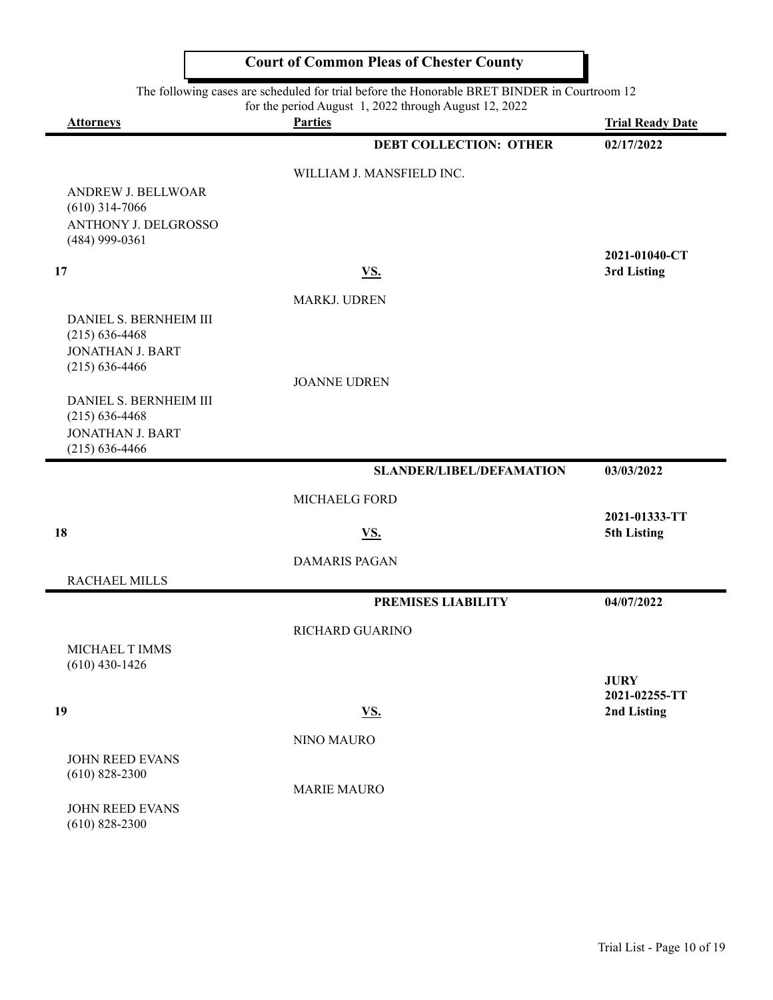|                                                                                                  | <b>Court of Common Pleas of Chester County</b>                                                                                                        |                              |
|--------------------------------------------------------------------------------------------------|-------------------------------------------------------------------------------------------------------------------------------------------------------|------------------------------|
|                                                                                                  | The following cases are scheduled for trial before the Honorable BRET BINDER in Courtroom 12<br>for the period August 1, 2022 through August 12, 2022 |                              |
| <b>Attorneys</b>                                                                                 | <b>Parties</b>                                                                                                                                        | <b>Trial Ready Date</b>      |
|                                                                                                  | <b>DEBT COLLECTION: OTHER</b>                                                                                                                         | 02/17/2022                   |
|                                                                                                  | WILLIAM J. MANSFIELD INC.                                                                                                                             |                              |
| <b>ANDREW J. BELLWOAR</b><br>$(610)$ 314-7066<br><b>ANTHONY J. DELGROSSO</b><br>$(484)$ 999-0361 |                                                                                                                                                       |                              |
| 17                                                                                               | <u>VS.</u>                                                                                                                                            | 2021-01040-CT<br>3rd Listing |
|                                                                                                  |                                                                                                                                                       |                              |
| DANIEL S. BERNHEIM III                                                                           | <b>MARKJ. UDREN</b>                                                                                                                                   |                              |
| $(215) 636 - 4468$                                                                               |                                                                                                                                                       |                              |
| <b>JONATHAN J. BART</b>                                                                          |                                                                                                                                                       |                              |
| $(215) 636 - 4466$                                                                               | <b>JOANNE UDREN</b>                                                                                                                                   |                              |
| DANIEL S. BERNHEIM III                                                                           |                                                                                                                                                       |                              |
| $(215) 636 - 4468$                                                                               |                                                                                                                                                       |                              |
| <b>JONATHAN J. BART</b><br>$(215) 636 - 4466$                                                    |                                                                                                                                                       |                              |
|                                                                                                  | <b>SLANDER/LIBEL/DEFAMATION</b>                                                                                                                       | 03/03/2022                   |
|                                                                                                  | <b>MICHAELG FORD</b>                                                                                                                                  |                              |
|                                                                                                  |                                                                                                                                                       | 2021-01333-TT                |
| 18                                                                                               | <u>VS.</u>                                                                                                                                            | 5th Listing                  |
|                                                                                                  | <b>DAMARIS PAGAN</b>                                                                                                                                  |                              |
| RACHAEL MILLS                                                                                    |                                                                                                                                                       |                              |
|                                                                                                  | <b>PREMISES LIABILITY</b>                                                                                                                             | 04/07/2022                   |
|                                                                                                  | RICHARD GUARINO                                                                                                                                       |                              |
| MICHAEL T IMMS                                                                                   |                                                                                                                                                       |                              |
| $(610)$ 430-1426                                                                                 |                                                                                                                                                       | <b>JURY</b>                  |
|                                                                                                  |                                                                                                                                                       | 2021-02255-TT                |
| 19                                                                                               | <u>VS.</u>                                                                                                                                            | 2nd Listing                  |
|                                                                                                  | <b>NINO MAURO</b>                                                                                                                                     |                              |
| <b>JOHN REED EVANS</b>                                                                           |                                                                                                                                                       |                              |
| $(610)$ 828-2300                                                                                 | <b>MARIE MAURO</b>                                                                                                                                    |                              |
| <b>JOHN REED EVANS</b><br>$(610)$ 828-2300                                                       |                                                                                                                                                       |                              |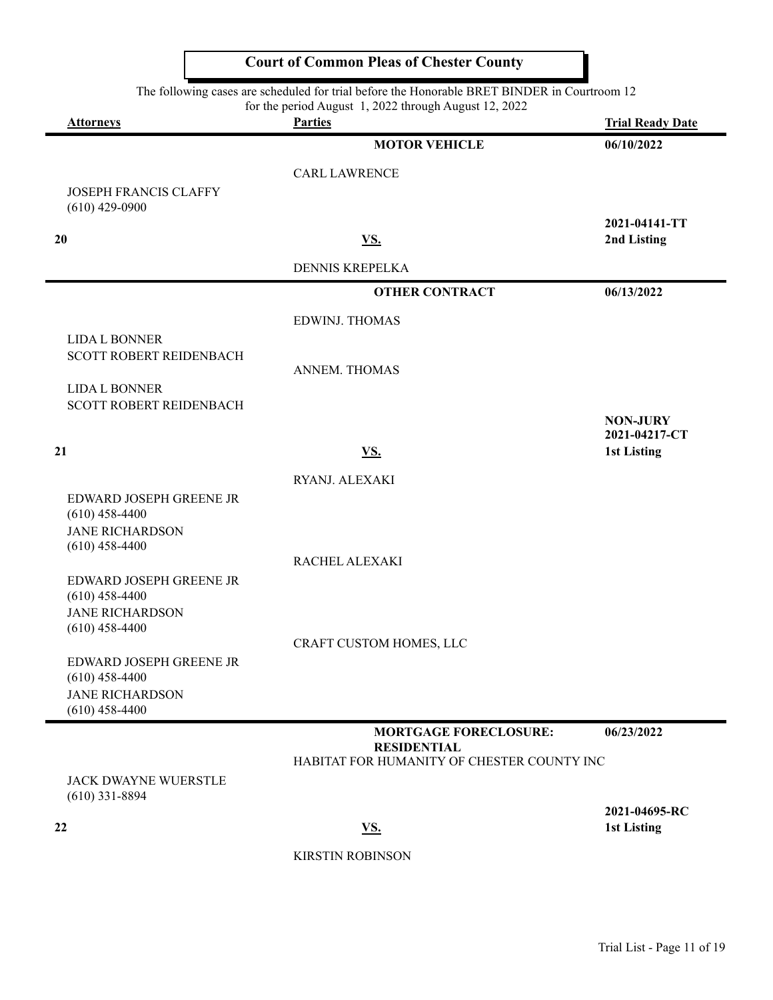| <b>Attorneys</b>                                                      | for the period August 1, 2022 through August 12, 2022<br><b>Parties</b>                          | <b>Trial Ready Date</b>             |
|-----------------------------------------------------------------------|--------------------------------------------------------------------------------------------------|-------------------------------------|
|                                                                       | <b>MOTOR VEHICLE</b>                                                                             | 06/10/2022                          |
|                                                                       | <b>CARL LAWRENCE</b>                                                                             |                                     |
| <b>JOSEPH FRANCIS CLAFFY</b><br>$(610)$ 429-0900                      |                                                                                                  |                                     |
| 20                                                                    | <u>VS.</u>                                                                                       | 2021-04141-TT<br>2nd Listing        |
|                                                                       | <b>DENNIS KREPELKA</b>                                                                           |                                     |
|                                                                       | <b>OTHER CONTRACT</b>                                                                            | 06/13/2022                          |
|                                                                       | <b>EDWINJ. THOMAS</b>                                                                            |                                     |
| <b>LIDA L BONNER</b><br>SCOTT ROBERT REIDENBACH                       | ANNEM. THOMAS                                                                                    |                                     |
| <b>LIDA L BONNER</b><br><b>SCOTT ROBERT REIDENBACH</b>                |                                                                                                  | <b>NON-JURY</b>                     |
| 21                                                                    | VS.                                                                                              | 2021-04217-CT<br><b>1st Listing</b> |
|                                                                       | RYANJ. ALEXAKI                                                                                   |                                     |
| EDWARD JOSEPH GREENE JR<br>$(610)$ 458-4400                           |                                                                                                  |                                     |
| <b>JANE RICHARDSON</b><br>$(610)$ 458-4400                            | RACHEL ALEXAKI                                                                                   |                                     |
| EDWARD JOSEPH GREENE JR<br>$(610)$ 458-4400                           |                                                                                                  |                                     |
| <b>JANE RICHARDSON</b><br>$(610)$ 458-4400                            |                                                                                                  |                                     |
|                                                                       | CRAFT CUSTOM HOMES, LLC                                                                          |                                     |
| EDWARD JOSEPH GREENE JR<br>$(610)$ 458-4400<br><b>JANE RICHARDSON</b> |                                                                                                  |                                     |
| $(610)$ 458-4400                                                      |                                                                                                  |                                     |
|                                                                       | <b>MORTGAGE FORECLOSURE:</b><br><b>RESIDENTIAL</b><br>HABITAT FOR HUMANITY OF CHESTER COUNTY INC | 06/23/2022                          |
| <b>JACK DWAYNE WUERSTLE</b><br>$(610)$ 331-8894                       |                                                                                                  |                                     |
| 22                                                                    | <u>VS.</u>                                                                                       | 2021-04695-RC<br>1st Listing        |
|                                                                       | <b>KIRSTIN ROBINSON</b>                                                                          |                                     |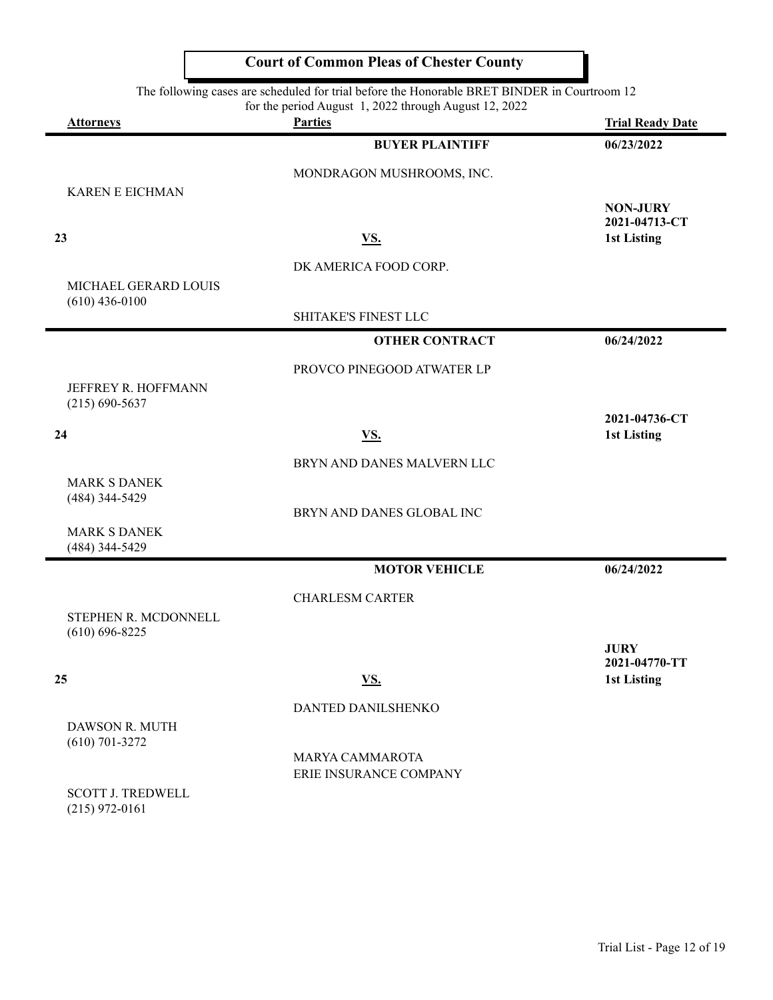|                                                                                                                                                                                             | <b>Court of Common Pleas of Chester County</b> |                         |
|---------------------------------------------------------------------------------------------------------------------------------------------------------------------------------------------|------------------------------------------------|-------------------------|
| The following cases are scheduled for trial before the Honorable BRET BINDER in Courtroom 12<br>for the period August 1, 2022 through August 12, 2022<br><b>Parties</b><br><b>Attorneys</b> |                                                |                         |
|                                                                                                                                                                                             |                                                | <b>Trial Ready Date</b> |
|                                                                                                                                                                                             | <b>BUYER PLAINTIFF</b>                         | 06/23/2022              |
|                                                                                                                                                                                             | MONDRAGON MUSHROOMS, INC.                      |                         |
| <b>KAREN E EICHMAN</b>                                                                                                                                                                      |                                                | <b>NON-JURY</b>         |
|                                                                                                                                                                                             |                                                | 2021-04713-CT           |
| 23                                                                                                                                                                                          | <u>VS.</u>                                     | 1st Listing             |
|                                                                                                                                                                                             | DK AMERICA FOOD CORP.                          |                         |
| MICHAEL GERARD LOUIS                                                                                                                                                                        |                                                |                         |
| $(610)$ 436-0100                                                                                                                                                                            | SHITAKE'S FINEST LLC                           |                         |
|                                                                                                                                                                                             | <b>OTHER CONTRACT</b>                          | 06/24/2022              |
|                                                                                                                                                                                             |                                                |                         |
| JEFFREY R. HOFFMANN                                                                                                                                                                         | PROVCO PINEGOOD ATWATER LP                     |                         |
| $(215) 690 - 5637$                                                                                                                                                                          |                                                |                         |
|                                                                                                                                                                                             |                                                | 2021-04736-CT           |
| 24                                                                                                                                                                                          | <u>VS.</u>                                     | 1st Listing             |
|                                                                                                                                                                                             | BRYN AND DANES MALVERN LLC                     |                         |
| <b>MARK S DANEK</b><br>(484) 344-5429                                                                                                                                                       |                                                |                         |
|                                                                                                                                                                                             | BRYN AND DANES GLOBAL INC                      |                         |
| <b>MARK S DANEK</b>                                                                                                                                                                         |                                                |                         |
| (484) 344-5429                                                                                                                                                                              |                                                |                         |
|                                                                                                                                                                                             | <b>MOTOR VEHICLE</b>                           | 06/24/2022              |
|                                                                                                                                                                                             | <b>CHARLESM CARTER</b>                         |                         |
| STEPHEN R. MCDONNELL                                                                                                                                                                        |                                                |                         |
| $(610) 696 - 8225$                                                                                                                                                                          |                                                | <b>JURY</b>             |
|                                                                                                                                                                                             |                                                | 2021-04770-TT           |
| 25                                                                                                                                                                                          | <u>VS.</u>                                     | 1st Listing             |
|                                                                                                                                                                                             | DANTED DANILSHENKO                             |                         |
| DAWSON R. MUTH<br>$(610)$ 701-3272                                                                                                                                                          |                                                |                         |
|                                                                                                                                                                                             | MARYA CAMMAROTA                                |                         |
|                                                                                                                                                                                             | ERIE INSURANCE COMPANY                         |                         |
| $C\cap T$ t toenweit                                                                                                                                                                        |                                                |                         |

SCOTT J. TREDWELL (215) 972-0161

 $\mathsf{r}$ 

Ъ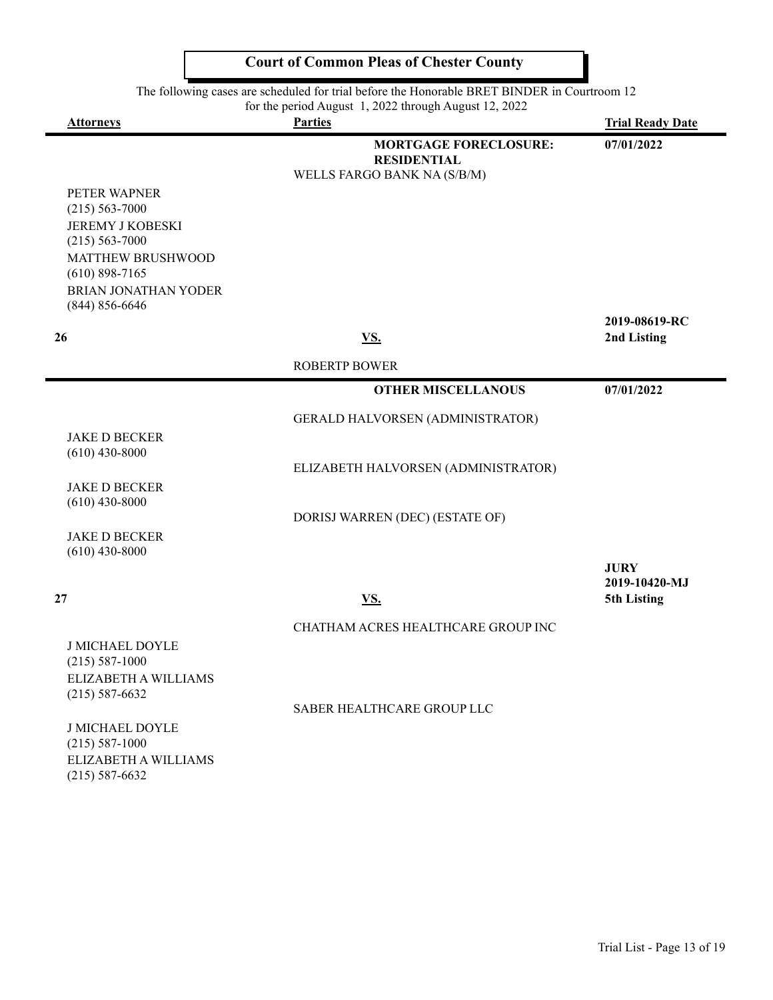|                                                                                                                                                       | <b>Court of Common Pleas of Chester County</b>                                    |                              |  |
|-------------------------------------------------------------------------------------------------------------------------------------------------------|-----------------------------------------------------------------------------------|------------------------------|--|
| The following cases are scheduled for trial before the Honorable BRET BINDER in Courtroom 12<br>for the period August 1, 2022 through August 12, 2022 |                                                                                   |                              |  |
| <b>Attorneys</b>                                                                                                                                      | <b>Parties</b>                                                                    | <b>Trial Ready Date</b>      |  |
|                                                                                                                                                       | <b>MORTGAGE FORECLOSURE:</b><br><b>RESIDENTIAL</b><br>WELLS FARGO BANK NA (S/B/M) | 07/01/2022                   |  |
| PETER WAPNER                                                                                                                                          |                                                                                   |                              |  |
| $(215) 563 - 7000$                                                                                                                                    |                                                                                   |                              |  |
| <b>JEREMY J KOBESKI</b>                                                                                                                               |                                                                                   |                              |  |
| $(215) 563 - 7000$                                                                                                                                    |                                                                                   |                              |  |
| MATTHEW BRUSHWOOD                                                                                                                                     |                                                                                   |                              |  |
| $(610)$ 898-7165                                                                                                                                      |                                                                                   |                              |  |
| <b>BRIAN JONATHAN YODER</b><br>$(844) 856 - 6646$                                                                                                     |                                                                                   |                              |  |
|                                                                                                                                                       |                                                                                   | 2019-08619-RC                |  |
| 26                                                                                                                                                    | <u>VS.</u>                                                                        | 2nd Listing                  |  |
|                                                                                                                                                       | <b>ROBERTP BOWER</b>                                                              |                              |  |
|                                                                                                                                                       | <b>OTHER MISCELLANOUS</b>                                                         | 07/01/2022                   |  |
|                                                                                                                                                       | GERALD HALVORSEN (ADMINISTRATOR)                                                  |                              |  |
| <b>JAKE D BECKER</b>                                                                                                                                  |                                                                                   |                              |  |
| $(610)$ 430-8000                                                                                                                                      |                                                                                   |                              |  |
|                                                                                                                                                       | ELIZABETH HALVORSEN (ADMINISTRATOR)                                               |                              |  |
| <b>JAKE D BECKER</b>                                                                                                                                  |                                                                                   |                              |  |
| $(610)$ 430-8000                                                                                                                                      |                                                                                   |                              |  |
|                                                                                                                                                       | DORISJ WARREN (DEC) (ESTATE OF)                                                   |                              |  |
| <b>JAKE D BECKER</b>                                                                                                                                  |                                                                                   |                              |  |
| $(610)$ 430-8000                                                                                                                                      |                                                                                   |                              |  |
|                                                                                                                                                       |                                                                                   | <b>JURY</b><br>2019-10420-MJ |  |
| 27                                                                                                                                                    | <u>VS.</u>                                                                        | 5th Listing                  |  |
|                                                                                                                                                       | CHATHAM ACRES HEALTHCARE GROUP INC                                                |                              |  |
| <b>J MICHAEL DOYLE</b>                                                                                                                                |                                                                                   |                              |  |
| $(215) 587-1000$                                                                                                                                      |                                                                                   |                              |  |
| ELIZABETH A WILLIAMS<br>$(215) 587 - 6632$                                                                                                            |                                                                                   |                              |  |
|                                                                                                                                                       | SABER HEALTHCARE GROUP LLC                                                        |                              |  |
| <b>J MICHAEL DOYLE</b>                                                                                                                                |                                                                                   |                              |  |
| $(215) 587-1000$                                                                                                                                      |                                                                                   |                              |  |
| ELIZABETH A WILLIAMS                                                                                                                                  |                                                                                   |                              |  |

(215) 587-6632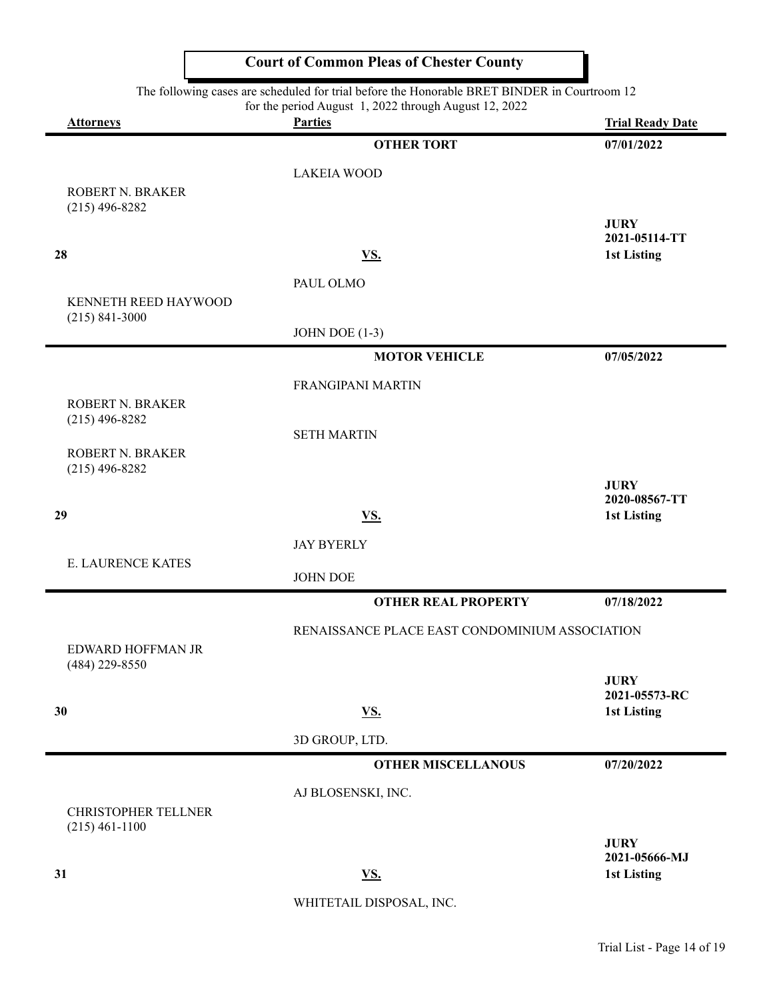|                                      | <b>Court of Common Pleas of Chester County</b>                                                                                                        |                                     |
|--------------------------------------|-------------------------------------------------------------------------------------------------------------------------------------------------------|-------------------------------------|
|                                      | The following cases are scheduled for trial before the Honorable BRET BINDER in Courtroom 12<br>for the period August 1, 2022 through August 12, 2022 |                                     |
| <b>Attorneys</b>                     | <b>Parties</b>                                                                                                                                        | <b>Trial Ready Date</b>             |
|                                      | <b>OTHER TORT</b>                                                                                                                                     | 07/01/2022                          |
|                                      | <b>LAKEIA WOOD</b>                                                                                                                                    |                                     |
| ROBERT N. BRAKER<br>$(215)$ 496-8282 |                                                                                                                                                       |                                     |
|                                      |                                                                                                                                                       | <b>JURY</b>                         |
| 28                                   | VS.                                                                                                                                                   | 2021-05114-TT<br><b>1st Listing</b> |
|                                      | PAUL OLMO                                                                                                                                             |                                     |
| KENNETH REED HAYWOOD                 |                                                                                                                                                       |                                     |
| $(215)$ 841-3000                     | JOHN DOE $(1-3)$                                                                                                                                      |                                     |
|                                      | <b>MOTOR VEHICLE</b>                                                                                                                                  | 07/05/2022                          |
|                                      |                                                                                                                                                       |                                     |
| ROBERT N. BRAKER                     | <b>FRANGIPANI MARTIN</b>                                                                                                                              |                                     |
| $(215)$ 496-8282                     | <b>SETH MARTIN</b>                                                                                                                                    |                                     |
| <b>ROBERT N. BRAKER</b>              |                                                                                                                                                       |                                     |
| $(215)$ 496-8282                     |                                                                                                                                                       |                                     |
|                                      |                                                                                                                                                       | <b>JURY</b><br>2020-08567-TT        |
| 29                                   | VS.                                                                                                                                                   | <b>1st Listing</b>                  |
|                                      | <b>JAY BYERLY</b>                                                                                                                                     |                                     |
| <b>E. LAURENCE KATES</b>             | <b>JOHN DOE</b>                                                                                                                                       |                                     |
|                                      | <b>OTHER REAL PROPERTY</b>                                                                                                                            | 07/18/2022                          |
|                                      | RENAISSANCE PLACE EAST CONDOMINIUM ASSOCIATION                                                                                                        |                                     |
| EDWARD HOFFMAN JR                    |                                                                                                                                                       |                                     |
| $(484)$ 229-8550                     |                                                                                                                                                       | <b>JURY</b>                         |
| 30                                   | <u>VS.</u>                                                                                                                                            | 2021-05573-RC<br><b>1st Listing</b> |
|                                      | 3D GROUP, LTD.                                                                                                                                        |                                     |
|                                      | <b>OTHER MISCELLANOUS</b>                                                                                                                             | 07/20/2022                          |
|                                      |                                                                                                                                                       |                                     |
|                                      | AJ BLOSENSKI, INC.                                                                                                                                    |                                     |

CHRISTOPHER TELLNER (215) 461-1100

**JURY 2021-05666-MJ 31 VS . 1st Listing**

WHITETAIL DISPOSAL, INC.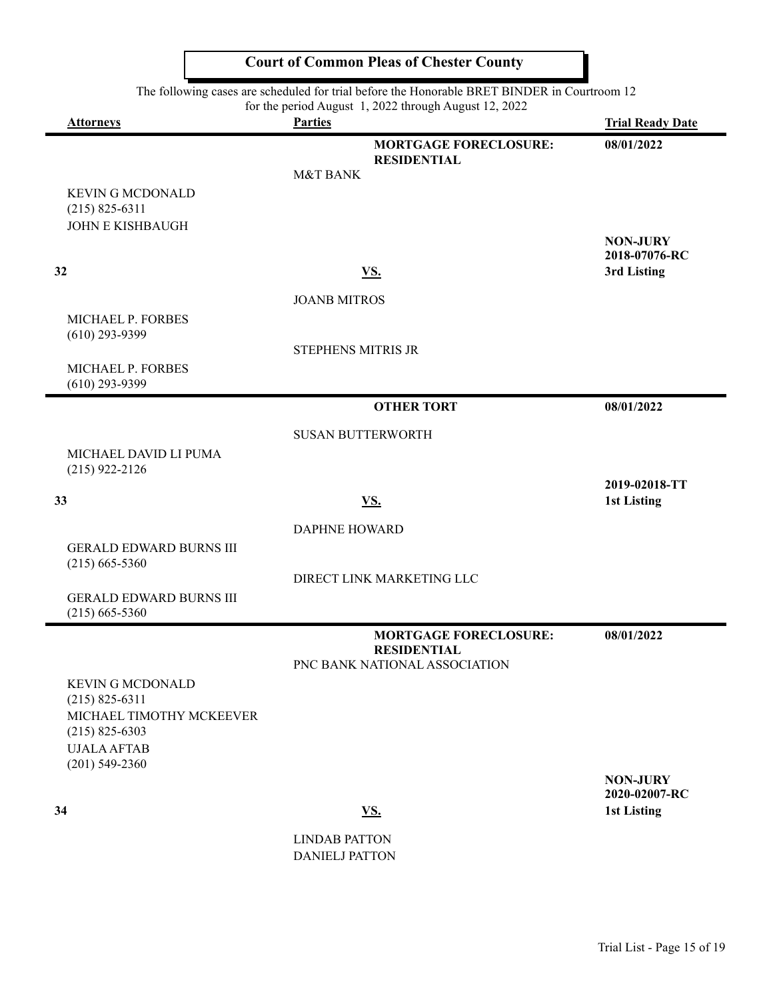The following cases are scheduled for trial before the Honorable BRET BINDER in Courtroom 12

|                                                                    | The following cases are scheduled for trial before the Honorable BRET BINDER in Courtroom 12<br>for the period August 1, 2022 through August 12, 2022 |                                     |
|--------------------------------------------------------------------|-------------------------------------------------------------------------------------------------------------------------------------------------------|-------------------------------------|
| <b>Attorneys</b>                                                   | <b>Parties</b>                                                                                                                                        | <b>Trial Ready Date</b>             |
| <b>KEVIN G MCDONALD</b><br>$(215) 825 - 6311$                      | <b>MORTGAGE FORECLOSURE:</b><br><b>RESIDENTIAL</b><br><b>M&amp;T BANK</b>                                                                             | 08/01/2022                          |
| <b>JOHN E KISHBAUGH</b>                                            |                                                                                                                                                       | <b>NON-JURY</b><br>2018-07076-RC    |
| 32                                                                 | <u>VS.</u>                                                                                                                                            | 3rd Listing                         |
|                                                                    | <b>JOANB MITROS</b>                                                                                                                                   |                                     |
| MICHAEL P. FORBES<br>$(610)$ 293-9399                              | <b>STEPHENS MITRIS JR</b>                                                                                                                             |                                     |
| MICHAEL P. FORBES<br>$(610)$ 293-9399                              |                                                                                                                                                       |                                     |
|                                                                    | <b>OTHER TORT</b>                                                                                                                                     | 08/01/2022                          |
|                                                                    | <b>SUSAN BUTTERWORTH</b>                                                                                                                              |                                     |
| MICHAEL DAVID LI PUMA<br>$(215)$ 922-2126                          |                                                                                                                                                       |                                     |
| 33                                                                 | <u>VS.</u>                                                                                                                                            | 2019-02018-TT<br><b>1st Listing</b> |
|                                                                    | <b>DAPHNE HOWARD</b>                                                                                                                                  |                                     |
| <b>GERALD EDWARD BURNS III</b><br>$(215)$ 665-5360                 |                                                                                                                                                       |                                     |
|                                                                    | DIRECT LINK MARKETING LLC                                                                                                                             |                                     |
| <b>GERALD EDWARD BURNS III</b><br>$(215)$ 665-5360                 |                                                                                                                                                       |                                     |
|                                                                    | <b>MORTGAGE FORECLOSURE:</b><br><b>RESIDENTIAL</b><br>PNC BANK NATIONAL ASSOCIATION                                                                   | 08/01/2022                          |
| <b>KEVIN G MCDONALD</b>                                            |                                                                                                                                                       |                                     |
| $(215) 825 - 6311$                                                 |                                                                                                                                                       |                                     |
| MICHAEL TIMOTHY MCKEEVER<br>$(215)$ 825-6303<br><b>UJALA AFTAB</b> |                                                                                                                                                       |                                     |
| $(201)$ 549-2360                                                   |                                                                                                                                                       |                                     |
|                                                                    |                                                                                                                                                       | <b>NON-JURY</b><br>2020-02007-RC    |
| 34                                                                 | <u>VS.</u>                                                                                                                                            | <b>1st Listing</b>                  |
|                                                                    | <b>LINDAB PATTON</b>                                                                                                                                  |                                     |

DANIELJ PATTON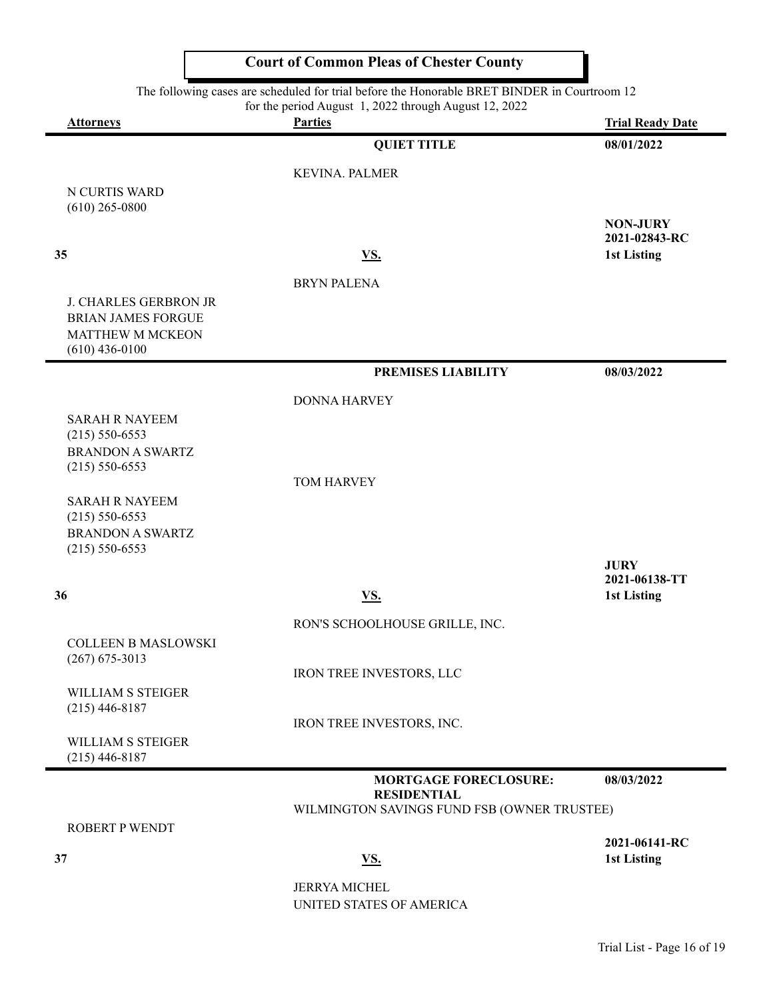| <b>Attorneys</b>                               | for the period August 1, 2022 through August 12, 2022<br><b>Parties</b> | <b>Trial Ready Date</b>             |
|------------------------------------------------|-------------------------------------------------------------------------|-------------------------------------|
|                                                | <b>QUIET TITLE</b>                                                      | 08/01/2022                          |
|                                                | <b>KEVINA. PALMER</b>                                                   |                                     |
| N CURTIS WARD                                  |                                                                         |                                     |
| $(610)$ 265-0800                               |                                                                         | <b>NON-JURY</b>                     |
|                                                |                                                                         | 2021-02843-RC                       |
| 35                                             | VS.                                                                     | 1st Listing                         |
|                                                | <b>BRYN PALENA</b>                                                      |                                     |
| <b>J. CHARLES GERBRON JR</b>                   |                                                                         |                                     |
| <b>BRIAN JAMES FORGUE</b><br>MATTHEW M MCKEON  |                                                                         |                                     |
| $(610)$ 436-0100                               |                                                                         |                                     |
|                                                | PREMISES LIABILITY                                                      | 08/03/2022                          |
|                                                | <b>DONNA HARVEY</b>                                                     |                                     |
| <b>SARAH R NAYEEM</b>                          |                                                                         |                                     |
| $(215) 550 - 6553$<br><b>BRANDON A SWARTZ</b>  |                                                                         |                                     |
| $(215) 550 - 6553$                             |                                                                         |                                     |
| <b>SARAH R NAYEEM</b>                          | TOM HARVEY                                                              |                                     |
| $(215) 550 - 6553$                             |                                                                         |                                     |
| <b>BRANDON A SWARTZ</b><br>$(215) 550 - 6553$  |                                                                         |                                     |
|                                                |                                                                         | <b>JURY</b>                         |
| 36                                             |                                                                         | 2021-06138-TT                       |
|                                                | VS.                                                                     | 1st Listing                         |
|                                                | RON'S SCHOOLHOUSE GRILLE, INC.                                          |                                     |
| <b>COLLEEN B MASLOWSKI</b><br>$(267)$ 675-3013 |                                                                         |                                     |
|                                                | IRON TREE INVESTORS, LLC                                                |                                     |
| WILLIAM S STEIGER<br>$(215)$ 446-8187          |                                                                         |                                     |
|                                                | IRON TREE INVESTORS, INC.                                               |                                     |
| WILLIAM S STEIGER<br>$(215)$ 446-8187          |                                                                         |                                     |
|                                                | <b>MORTGAGE FORECLOSURE:</b>                                            | 08/03/2022                          |
|                                                | <b>RESIDENTIAL</b><br>WILMINGTON SAVINGS FUND FSB (OWNER TRUSTEE)       |                                     |
| <b>ROBERT P WENDT</b>                          |                                                                         |                                     |
| 37                                             | <u>VS.</u>                                                              | 2021-06141-RC<br><b>1st Listing</b> |
|                                                | <b>JERRYA MICHEL</b>                                                    |                                     |
|                                                | UNITED STATES OF AMERICA                                                |                                     |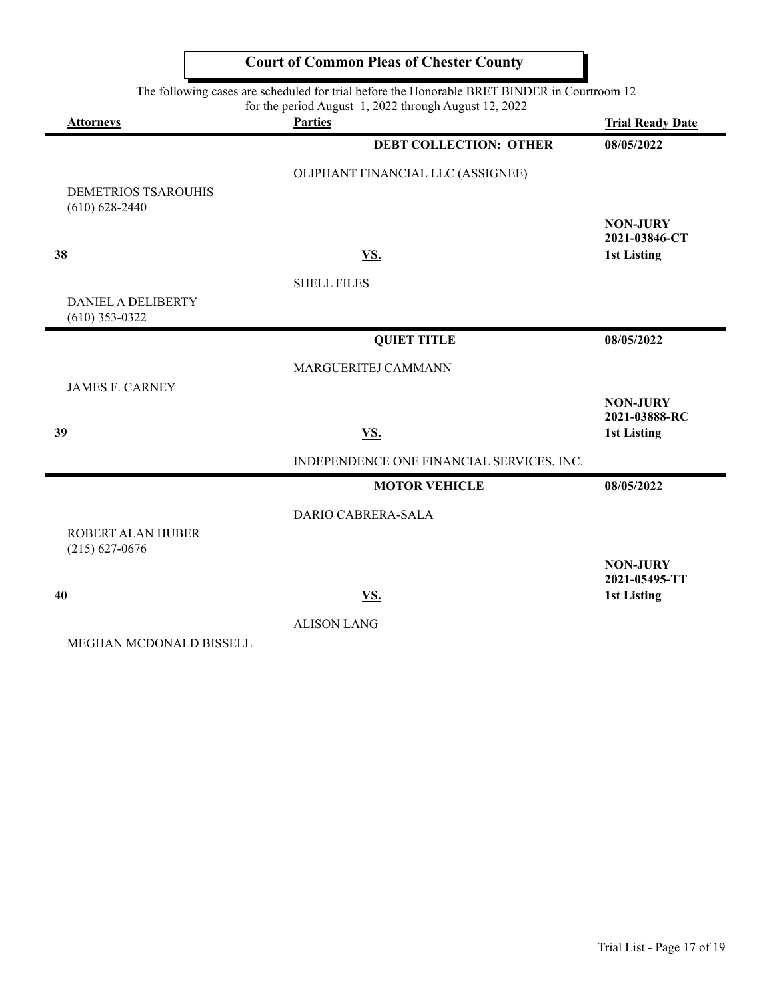|                                                  | The following cases are scheduled for trial before the Honorable BRET BINDER in Courtroom 12<br>for the period August 1, 2022 through August 12, 2022 |                                  |
|--------------------------------------------------|-------------------------------------------------------------------------------------------------------------------------------------------------------|----------------------------------|
| <b>Attorneys</b>                                 | <b>Parties</b>                                                                                                                                        | <b>Trial Ready Date</b>          |
|                                                  | <b>DEBT COLLECTION: OTHER</b>                                                                                                                         | 08/05/2022                       |
|                                                  | OLIPHANT FINANCIAL LLC (ASSIGNEE)                                                                                                                     |                                  |
| <b>DEMETRIOS TSAROUHIS</b><br>$(610) 628 - 2440$ |                                                                                                                                                       |                                  |
|                                                  |                                                                                                                                                       | <b>NON-JURY</b><br>2021-03846-CT |
| 38                                               | VS.                                                                                                                                                   | <b>1st Listing</b>               |
|                                                  | <b>SHELL FILES</b>                                                                                                                                    |                                  |
| DANIEL A DELIBERTY<br>$(610)$ 353-0322           |                                                                                                                                                       |                                  |
|                                                  | <b>QUIET TITLE</b>                                                                                                                                    | 08/05/2022                       |
|                                                  | MARGUERITEJ CAMMANN                                                                                                                                   |                                  |
| <b>JAMES F. CARNEY</b>                           |                                                                                                                                                       | <b>NON-JURY</b><br>2021-03888-RC |
| 39                                               | VS.                                                                                                                                                   | <b>1st Listing</b>               |
|                                                  | INDEPENDENCE ONE FINANCIAL SERVICES, INC.                                                                                                             |                                  |
|                                                  | <b>MOTOR VEHICLE</b>                                                                                                                                  | 08/05/2022                       |
|                                                  | DARIO CABRERA-SALA                                                                                                                                    |                                  |
| ROBERT ALAN HUBER<br>$(215) 627 - 0676$          |                                                                                                                                                       |                                  |
|                                                  |                                                                                                                                                       | <b>NON-JURY</b><br>2021-05495-TT |
| 40                                               | VS.                                                                                                                                                   | <b>1st Listing</b>               |

ALISON LANG

MEGHAN MCDONALD BISSELL

**Court of Common Pleas of Chester County**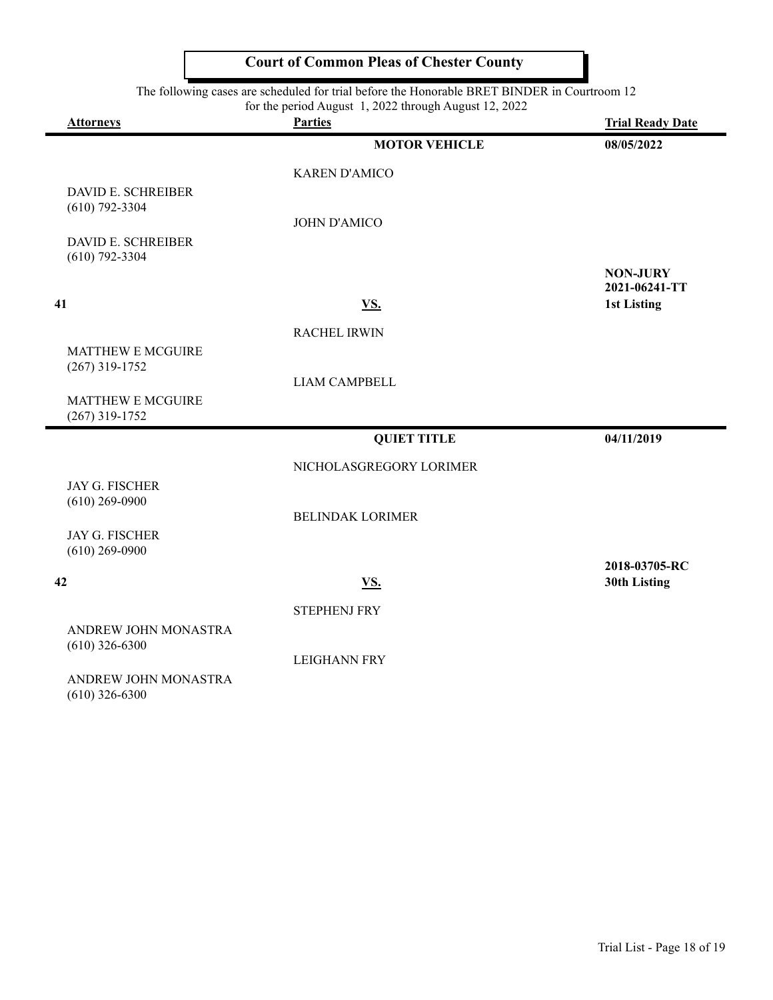The following cases are scheduled for trial before the Honorable BRET BINDER in Courtroom 12

|                                              | for the period August 1, 2022 through August 12, 2022 |                              |
|----------------------------------------------|-------------------------------------------------------|------------------------------|
| <b>Attorneys</b>                             | <b>Parties</b>                                        | <b>Trial Ready Date</b>      |
|                                              | <b>MOTOR VEHICLE</b>                                  | 08/05/2022                   |
|                                              | <b>KAREN D'AMICO</b>                                  |                              |
| <b>DAVID E. SCHREIBER</b>                    |                                                       |                              |
| $(610)$ 792-3304                             | <b>JOHN D'AMICO</b>                                   |                              |
| DAVID E. SCHREIBER                           |                                                       |                              |
| $(610)$ 792-3304                             |                                                       |                              |
|                                              |                                                       | <b>NON-JURY</b>              |
| 41                                           | VS.                                                   | 2021-06241-TT<br>1st Listing |
|                                              |                                                       |                              |
|                                              | <b>RACHEL IRWIN</b>                                   |                              |
| <b>MATTHEW E MCGUIRE</b><br>$(267)$ 319-1752 |                                                       |                              |
|                                              | <b>LIAM CAMPBELL</b>                                  |                              |
| <b>MATTHEW E MCGUIRE</b>                     |                                                       |                              |
| $(267)$ 319-1752                             |                                                       |                              |
|                                              | <b>QUIET TITLE</b>                                    | 04/11/2019                   |
|                                              | NICHOLASGREGORY LORIMER                               |                              |
| <b>JAY G. FISCHER</b>                        |                                                       |                              |
| $(610)$ 269-0900                             | <b>BELINDAK LORIMER</b>                               |                              |
| <b>JAY G. FISCHER</b>                        |                                                       |                              |
| $(610)$ 269-0900                             |                                                       |                              |
|                                              |                                                       | 2018-03705-RC                |
| 42                                           | VS.                                                   | 30th Listing                 |
|                                              | <b>STEPHENJ FRY</b>                                   |                              |
| ANDREW JOHN MONASTRA                         |                                                       |                              |
| $(610)$ 326-6300                             | <b>LEIGHANN FRY</b>                                   |                              |
| ANDREW JOHN MONASTRA                         |                                                       |                              |

(610) 326-6300